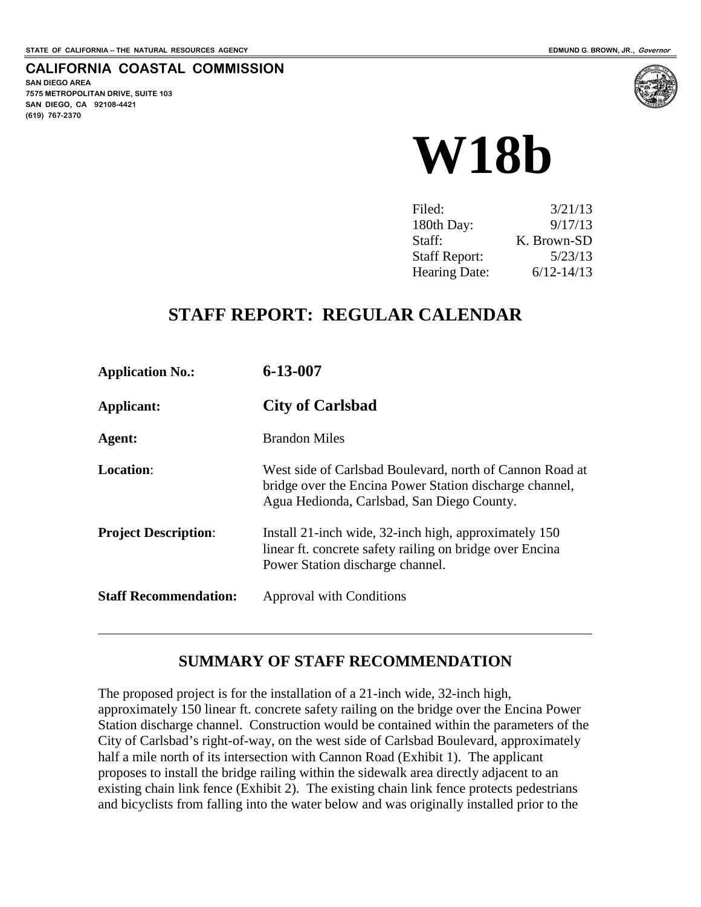#### **CALIFORNIA COASTAL COMMISSION**

**SAN DIEGO AREA 7575 METROPOLITAN DRIVE, SUITE 103 SAN DIEGO, CA 92108-4421 (619) 767-2370**



| Filed:               | 3/21/13        |
|----------------------|----------------|
| 180th Day:           | 9/17/13        |
| Staff:               | K. Brown-SD    |
| <b>Staff Report:</b> | 5/23/13        |
| <b>Hearing Date:</b> | $6/12 - 14/13$ |

## **STAFF REPORT: REGULAR CALENDAR**

| <b>Application No.:</b>      | 6-13-007                                                                                                                                                          |
|------------------------------|-------------------------------------------------------------------------------------------------------------------------------------------------------------------|
| Applicant:                   | <b>City of Carlsbad</b>                                                                                                                                           |
| Agent:                       | <b>Brandon Miles</b>                                                                                                                                              |
| <b>Location:</b>             | West side of Carlsbad Boulevard, north of Cannon Road at<br>bridge over the Encina Power Station discharge channel,<br>Agua Hedionda, Carlsbad, San Diego County. |
| <b>Project Description:</b>  | Install 21-inch wide, 32-inch high, approximately 150<br>linear ft. concrete safety railing on bridge over Encina<br>Power Station discharge channel.             |
| <b>Staff Recommendation:</b> | Approval with Conditions                                                                                                                                          |

#### **SUMMARY OF STAFF RECOMMENDATION**

The proposed project is for the installation of a 21-inch wide, 32-inch high, approximately 150 linear ft. concrete safety railing on the bridge over the Encina Power Station discharge channel. Construction would be contained within the parameters of the City of Carlsbad's right-of-way, on the west side of Carlsbad Boulevard, approximately half a mile north of its intersection with Cannon Road (Exhibit 1). The applicant proposes to install the bridge railing within the sidewalk area directly adjacent to an existing chain link fence (Exhibit 2). The existing chain link fence protects pedestrians and bicyclists from falling into the water below and was originally installed prior to the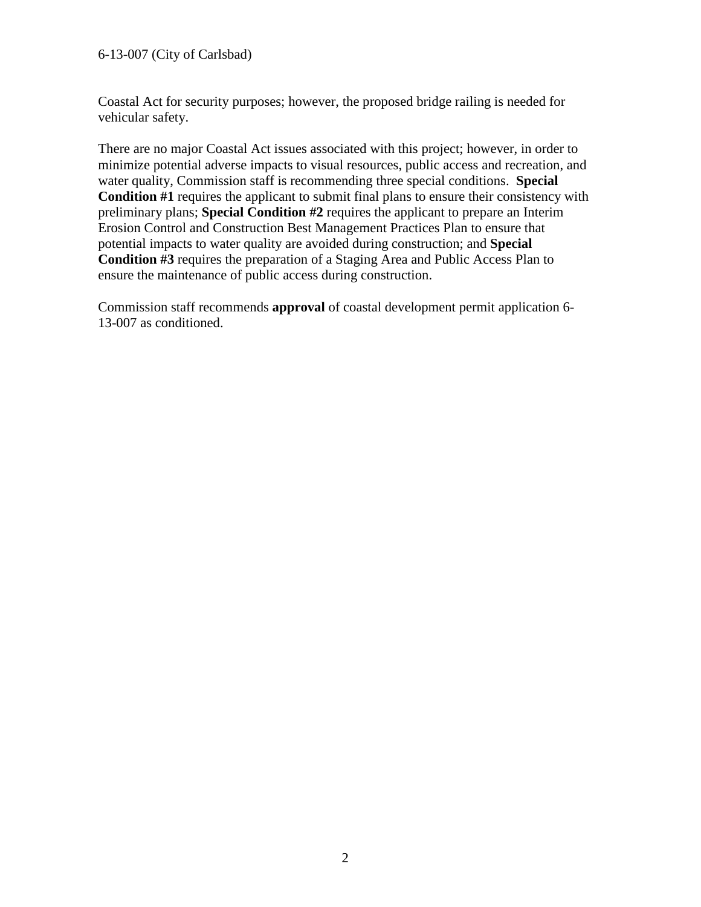#### 6-13-007 (City of Carlsbad)

Coastal Act for security purposes; however, the proposed bridge railing is needed for vehicular safety.

There are no major Coastal Act issues associated with this project; however, in order to minimize potential adverse impacts to visual resources, public access and recreation, and water quality, Commission staff is recommending three special conditions. **Special Condition #1** requires the applicant to submit final plans to ensure their consistency with preliminary plans; **Special Condition #2** requires the applicant to prepare an Interim Erosion Control and Construction Best Management Practices Plan to ensure that potential impacts to water quality are avoided during construction; and **Special Condition #3** requires the preparation of a Staging Area and Public Access Plan to ensure the maintenance of public access during construction.

Commission staff recommends **approval** of coastal development permit application 6- 13-007 as conditioned.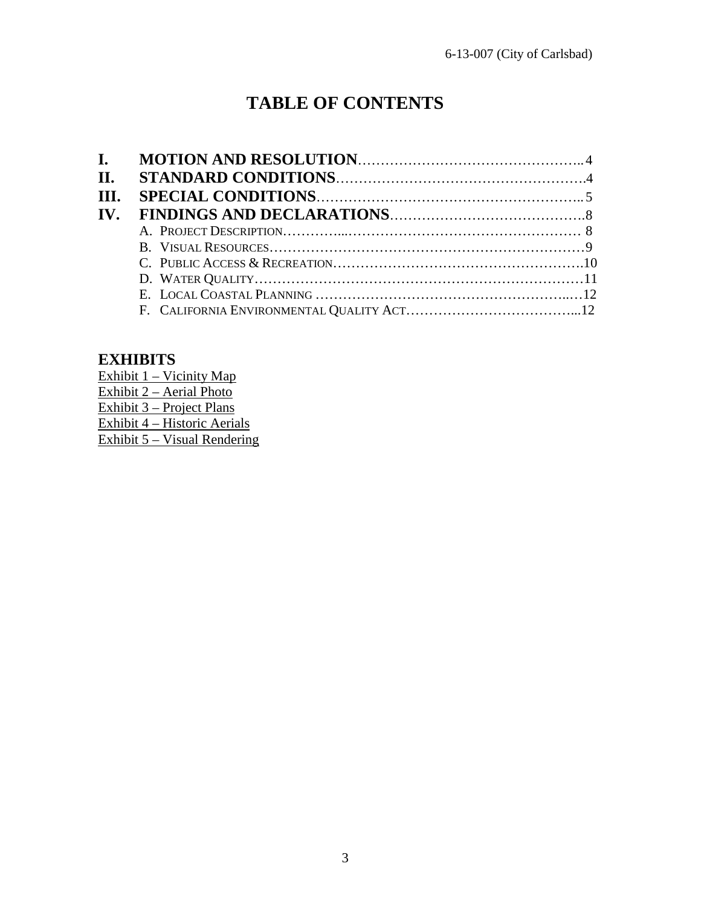# **TABLE OF CONTENTS**

## **EXHIBITS**

Exhibit 1 – Vicinity Map Exhibit 2 – Aerial Photo Exhibit 3 – Project Plans Exhibit 4 – Historic Aerials Exhibit 5 – Visual Rendering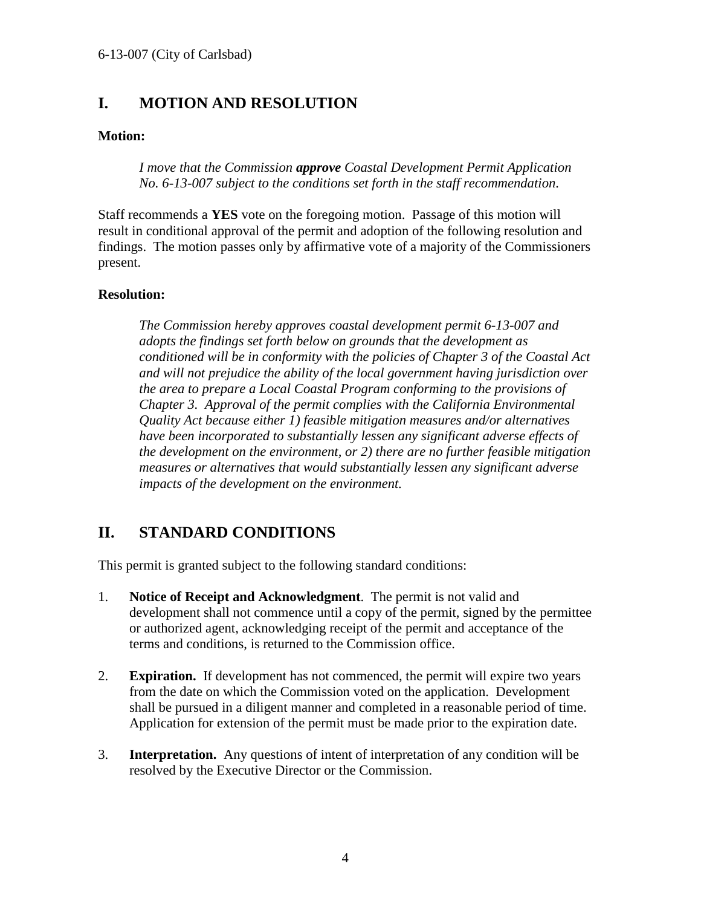## **I. MOTION AND RESOLUTION**

#### **Motion:**

*I move that the Commission approve Coastal Development Permit Application No. 6-13-007 subject to the conditions set forth in the staff recommendation.*

Staff recommends a **YES** vote on the foregoing motion. Passage of this motion will result in conditional approval of the permit and adoption of the following resolution and findings. The motion passes only by affirmative vote of a majority of the Commissioners present.

#### **Resolution:**

*The Commission hereby approves coastal development permit 6-13-007 and adopts the findings set forth below on grounds that the development as conditioned will be in conformity with the policies of Chapter 3 of the Coastal Act and will not prejudice the ability of the local government having jurisdiction over the area to prepare a Local Coastal Program conforming to the provisions of Chapter 3. Approval of the permit complies with the California Environmental Quality Act because either 1) feasible mitigation measures and/or alternatives have been incorporated to substantially lessen any significant adverse effects of the development on the environment, or 2) there are no further feasible mitigation measures or alternatives that would substantially lessen any significant adverse impacts of the development on the environment.*

## **II. STANDARD CONDITIONS**

This permit is granted subject to the following standard conditions:

- 1. **Notice of Receipt and Acknowledgment**. The permit is not valid and development shall not commence until a copy of the permit, signed by the permittee or authorized agent, acknowledging receipt of the permit and acceptance of the terms and conditions, is returned to the Commission office.
- 2. **Expiration.** If development has not commenced, the permit will expire two years from the date on which the Commission voted on the application. Development shall be pursued in a diligent manner and completed in a reasonable period of time. Application for extension of the permit must be made prior to the expiration date.
- 3. **Interpretation.** Any questions of intent of interpretation of any condition will be resolved by the Executive Director or the Commission.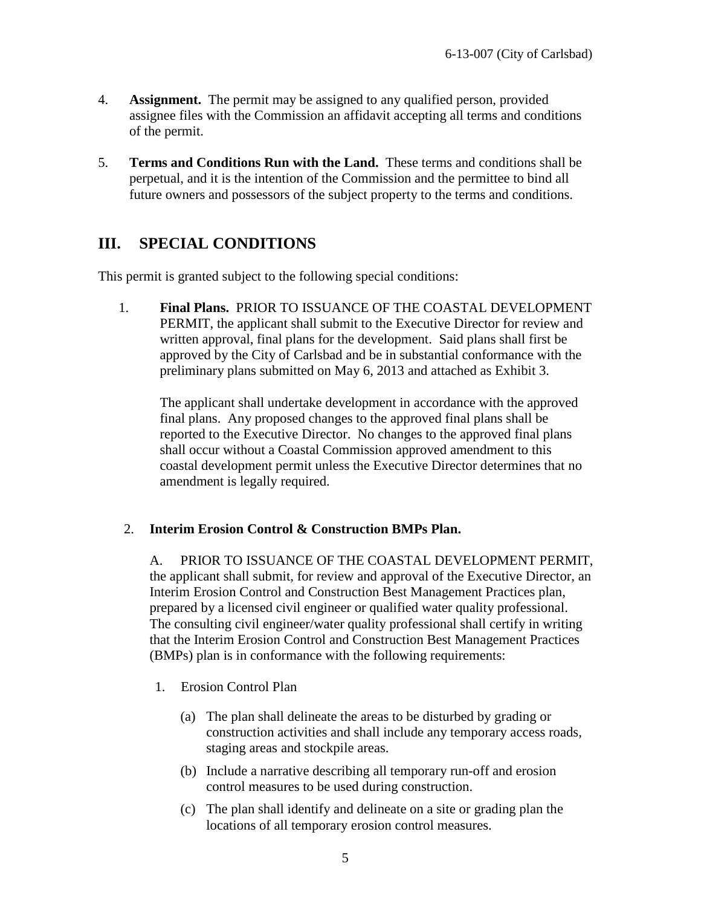- 4. **Assignment.** The permit may be assigned to any qualified person, provided assignee files with the Commission an affidavit accepting all terms and conditions of the permit.
- 5. **Terms and Conditions Run with the Land.** These terms and conditions shall be perpetual, and it is the intention of the Commission and the permittee to bind all future owners and possessors of the subject property to the terms and conditions.

## **III. SPECIAL CONDITIONS**

This permit is granted subject to the following special conditions:

1. **Final Plans.** PRIOR TO ISSUANCE OF THE COASTAL DEVELOPMENT PERMIT, the applicant shall submit to the Executive Director for review and written approval, final plans for the development. Said plans shall first be approved by the City of Carlsbad and be in substantial conformance with the preliminary plans submitted on May 6, 2013 and attached as Exhibit 3.

The applicant shall undertake development in accordance with the approved final plans. Any proposed changes to the approved final plans shall be reported to the Executive Director. No changes to the approved final plans shall occur without a Coastal Commission approved amendment to this coastal development permit unless the Executive Director determines that no amendment is legally required.

#### 2. **Interim Erosion Control & Construction BMPs Plan.**

A. PRIOR TO ISSUANCE OF THE COASTAL DEVELOPMENT PERMIT, the applicant shall submit, for review and approval of the Executive Director, an Interim Erosion Control and Construction Best Management Practices plan, prepared by a licensed civil engineer or qualified water quality professional. The consulting civil engineer/water quality professional shall certify in writing that the Interim Erosion Control and Construction Best Management Practices (BMPs) plan is in conformance with the following requirements:

- 1. Erosion Control Plan
	- (a) The plan shall delineate the areas to be disturbed by grading or construction activities and shall include any temporary access roads, staging areas and stockpile areas.
	- (b) Include a narrative describing all temporary run-off and erosion control measures to be used during construction.
	- (c) The plan shall identify and delineate on a site or grading plan the locations of all temporary erosion control measures.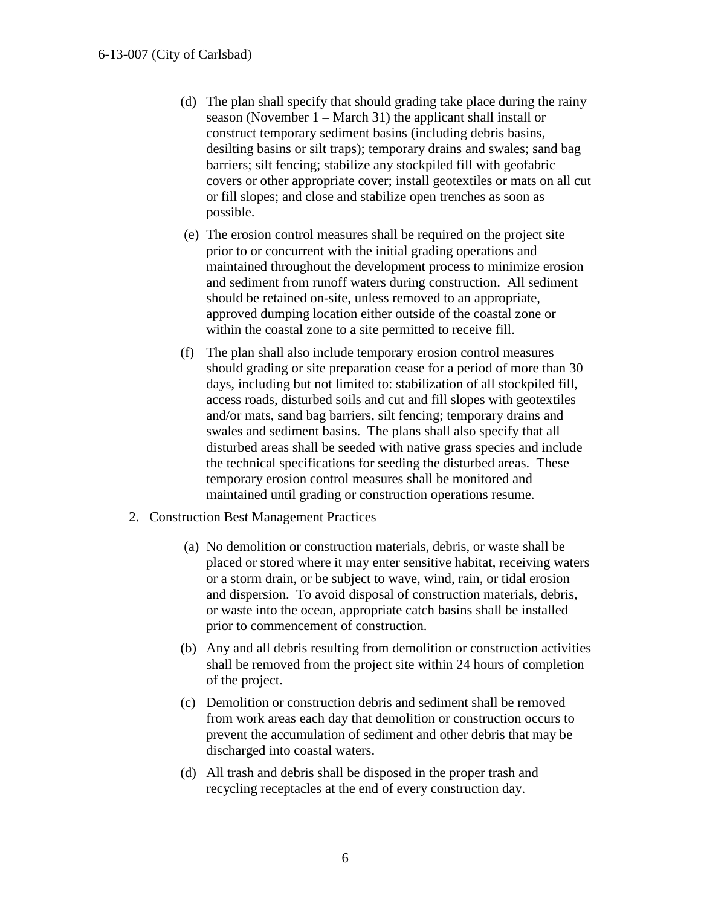- (d) The plan shall specify that should grading take place during the rainy season (November 1 – March 31) the applicant shall install or construct temporary sediment basins (including debris basins, desilting basins or silt traps); temporary drains and swales; sand bag barriers; silt fencing; stabilize any stockpiled fill with geofabric covers or other appropriate cover; install geotextiles or mats on all cut or fill slopes; and close and stabilize open trenches as soon as possible.
- (e) The erosion control measures shall be required on the project site prior to or concurrent with the initial grading operations and maintained throughout the development process to minimize erosion and sediment from runoff waters during construction. All sediment should be retained on-site, unless removed to an appropriate, approved dumping location either outside of the coastal zone or within the coastal zone to a site permitted to receive fill.
- (f) The plan shall also include temporary erosion control measures should grading or site preparation cease for a period of more than 30 days, including but not limited to: stabilization of all stockpiled fill, access roads, disturbed soils and cut and fill slopes with geotextiles and/or mats, sand bag barriers, silt fencing; temporary drains and swales and sediment basins. The plans shall also specify that all disturbed areas shall be seeded with native grass species and include the technical specifications for seeding the disturbed areas. These temporary erosion control measures shall be monitored and maintained until grading or construction operations resume.
- 2. Construction Best Management Practices
	- (a) No demolition or construction materials, debris, or waste shall be placed or stored where it may enter sensitive habitat, receiving waters or a storm drain, or be subject to wave, wind, rain, or tidal erosion and dispersion. To avoid disposal of construction materials, debris, or waste into the ocean, appropriate catch basins shall be installed prior to commencement of construction.
	- (b) Any and all debris resulting from demolition or construction activities shall be removed from the project site within 24 hours of completion of the project.
	- (c) Demolition or construction debris and sediment shall be removed from work areas each day that demolition or construction occurs to prevent the accumulation of sediment and other debris that may be discharged into coastal waters.
	- (d) All trash and debris shall be disposed in the proper trash and recycling receptacles at the end of every construction day.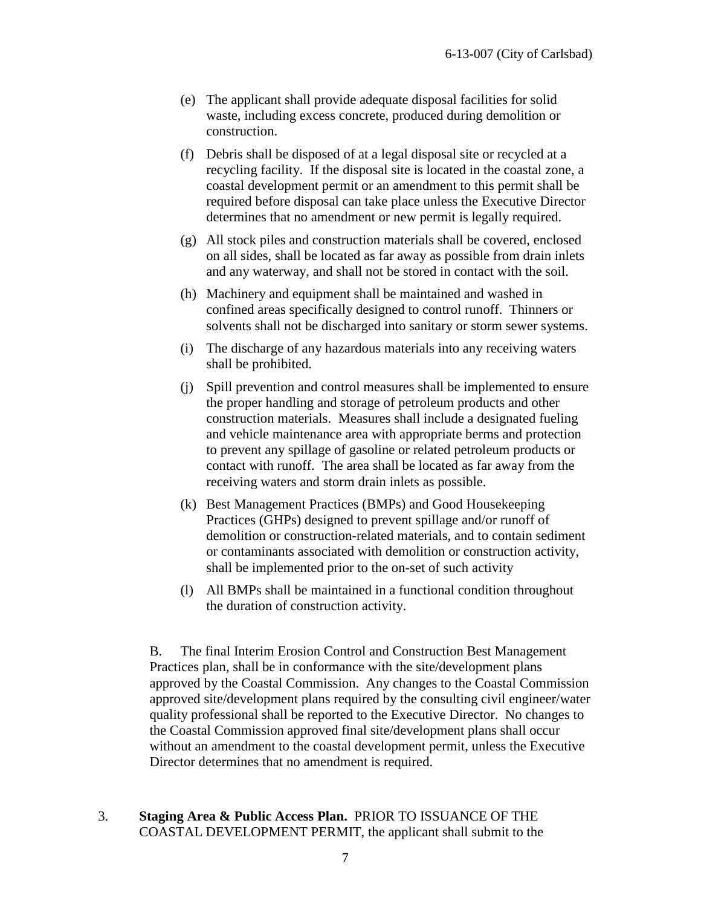- (e) The applicant shall provide adequate disposal facilities for solid waste, including excess concrete, produced during demolition or construction.
- (f) Debris shall be disposed of at a legal disposal site or recycled at a recycling facility. If the disposal site is located in the coastal zone, a coastal development permit or an amendment to this permit shall be required before disposal can take place unless the Executive Director determines that no amendment or new permit is legally required.
- (g) All stock piles and construction materials shall be covered, enclosed on all sides, shall be located as far away as possible from drain inlets and any waterway, and shall not be stored in contact with the soil.
- (h) Machinery and equipment shall be maintained and washed in confined areas specifically designed to control runoff. Thinners or solvents shall not be discharged into sanitary or storm sewer systems.
- (i) The discharge of any hazardous materials into any receiving waters shall be prohibited.
- (j) Spill prevention and control measures shall be implemented to ensure the proper handling and storage of petroleum products and other construction materials. Measures shall include a designated fueling and vehicle maintenance area with appropriate berms and protection to prevent any spillage of gasoline or related petroleum products or contact with runoff. The area shall be located as far away from the receiving waters and storm drain inlets as possible.
- (k) Best Management Practices (BMPs) and Good Housekeeping Practices (GHPs) designed to prevent spillage and/or runoff of demolition or construction-related materials, and to contain sediment or contaminants associated with demolition or construction activity, shall be implemented prior to the on-set of such activity
- (l) All BMPs shall be maintained in a functional condition throughout the duration of construction activity.

B. The final Interim Erosion Control and Construction Best Management Practices plan, shall be in conformance with the site/development plans approved by the Coastal Commission. Any changes to the Coastal Commission approved site/development plans required by the consulting civil engineer/water quality professional shall be reported to the Executive Director. No changes to the Coastal Commission approved final site/development plans shall occur without an amendment to the coastal development permit, unless the Executive Director determines that no amendment is required.

3. **Staging Area & Public Access Plan.** PRIOR TO ISSUANCE OF THE COASTAL DEVELOPMENT PERMIT, the applicant shall submit to the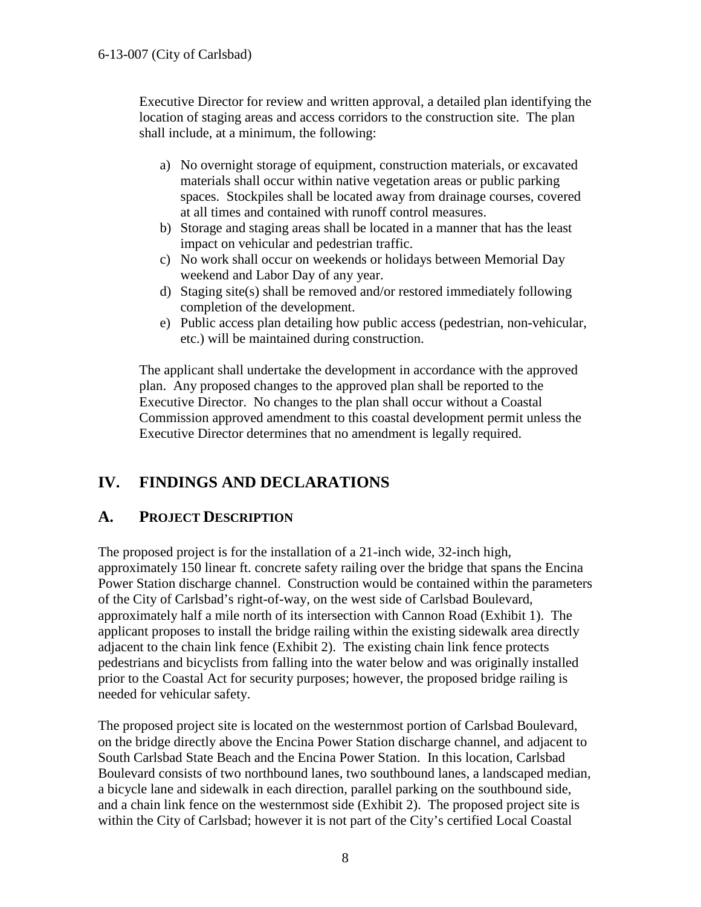Executive Director for review and written approval, a detailed plan identifying the location of staging areas and access corridors to the construction site. The plan shall include, at a minimum, the following:

- a) No overnight storage of equipment, construction materials, or excavated materials shall occur within native vegetation areas or public parking spaces. Stockpiles shall be located away from drainage courses, covered at all times and contained with runoff control measures.
- b) Storage and staging areas shall be located in a manner that has the least impact on vehicular and pedestrian traffic.
- c) No work shall occur on weekends or holidays between Memorial Day weekend and Labor Day of any year.
- d) Staging site(s) shall be removed and/or restored immediately following completion of the development.
- e) Public access plan detailing how public access (pedestrian, non-vehicular, etc.) will be maintained during construction.

The applicant shall undertake the development in accordance with the approved plan. Any proposed changes to the approved plan shall be reported to the Executive Director. No changes to the plan shall occur without a Coastal Commission approved amendment to this coastal development permit unless the Executive Director determines that no amendment is legally required.

## **IV. FINDINGS AND DECLARATIONS**

#### **A. PROJECT DESCRIPTION**

The proposed project is for the installation of a 21-inch wide, 32-inch high, approximately 150 linear ft. concrete safety railing over the bridge that spans the Encina Power Station discharge channel. Construction would be contained within the parameters of the City of Carlsbad's right-of-way, on the west side of Carlsbad Boulevard, approximately half a mile north of its intersection with Cannon Road (Exhibit 1). The applicant proposes to install the bridge railing within the existing sidewalk area directly adjacent to the chain link fence (Exhibit 2). The existing chain link fence protects pedestrians and bicyclists from falling into the water below and was originally installed prior to the Coastal Act for security purposes; however, the proposed bridge railing is needed for vehicular safety.

The proposed project site is located on the westernmost portion of Carlsbad Boulevard, on the bridge directly above the Encina Power Station discharge channel, and adjacent to South Carlsbad State Beach and the Encina Power Station. In this location, Carlsbad Boulevard consists of two northbound lanes, two southbound lanes, a landscaped median, a bicycle lane and sidewalk in each direction, parallel parking on the southbound side, and a chain link fence on the westernmost side (Exhibit 2). The proposed project site is within the City of Carlsbad; however it is not part of the City's certified Local Coastal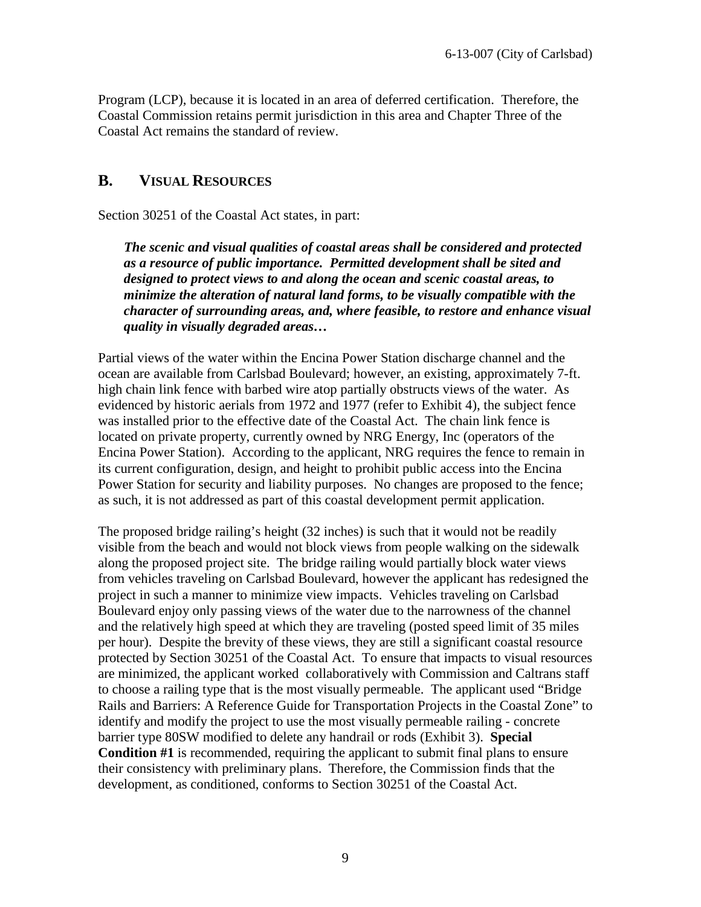Program (LCP), because it is located in an area of deferred certification. Therefore, the Coastal Commission retains permit jurisdiction in this area and Chapter Three of the Coastal Act remains the standard of review.

#### **B. VISUAL RESOURCES**

Section 30251 of the Coastal Act states, in part:

*The scenic and visual qualities of coastal areas shall be considered and protected as a resource of public importance. Permitted development shall be sited and designed to protect views to and along the ocean and scenic coastal areas, to minimize the alteration of natural land forms, to be visually compatible with the character of surrounding areas, and, where feasible, to restore and enhance visual quality in visually degraded areas…*

Partial views of the water within the Encina Power Station discharge channel and the ocean are available from Carlsbad Boulevard; however, an existing, approximately 7-ft. high chain link fence with barbed wire atop partially obstructs views of the water. As evidenced by historic aerials from 1972 and 1977 (refer to Exhibit 4), the subject fence was installed prior to the effective date of the Coastal Act. The chain link fence is located on private property, currently owned by NRG Energy, Inc (operators of the Encina Power Station). According to the applicant, NRG requires the fence to remain in its current configuration, design, and height to prohibit public access into the Encina Power Station for security and liability purposes. No changes are proposed to the fence; as such, it is not addressed as part of this coastal development permit application.

The proposed bridge railing's height (32 inches) is such that it would not be readily visible from the beach and would not block views from people walking on the sidewalk along the proposed project site. The bridge railing would partially block water views from vehicles traveling on Carlsbad Boulevard, however the applicant has redesigned the project in such a manner to minimize view impacts. Vehicles traveling on Carlsbad Boulevard enjoy only passing views of the water due to the narrowness of the channel and the relatively high speed at which they are traveling (posted speed limit of 35 miles per hour). Despite the brevity of these views, they are still a significant coastal resource protected by Section 30251 of the Coastal Act. To ensure that impacts to visual resources are minimized, the applicant worked collaboratively with Commission and Caltrans staff to choose a railing type that is the most visually permeable. The applicant used "Bridge Rails and Barriers: A Reference Guide for Transportation Projects in the Coastal Zone" to identify and modify the project to use the most visually permeable railing - concrete barrier type 80SW modified to delete any handrail or rods (Exhibit 3). **Special Condition #1** is recommended, requiring the applicant to submit final plans to ensure their consistency with preliminary plans. Therefore, the Commission finds that the development, as conditioned, conforms to Section 30251 of the Coastal Act.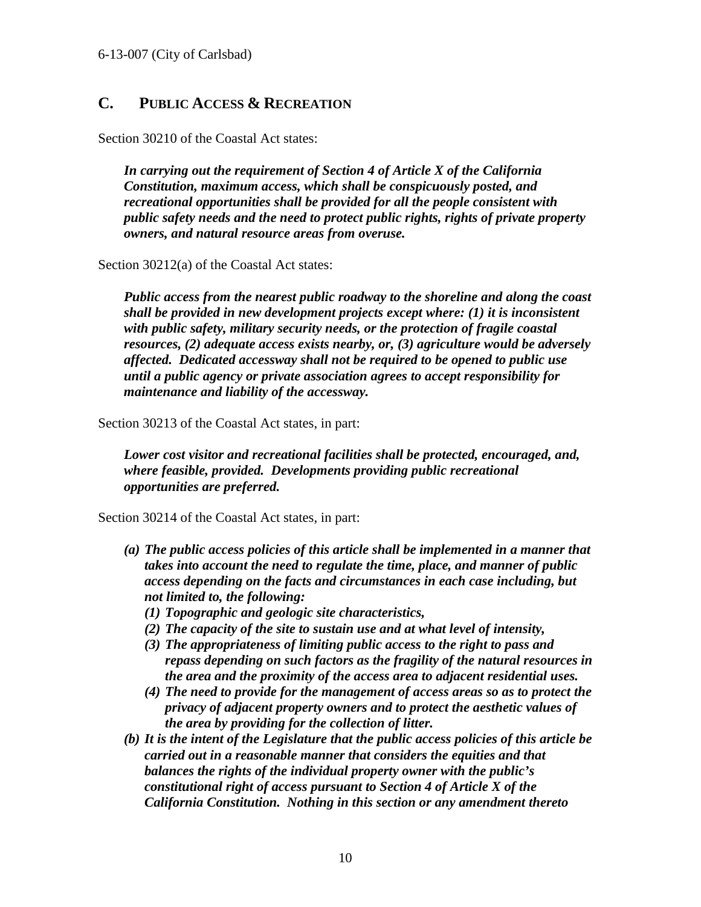## **C. PUBLIC ACCESS & RECREATION**

Section 30210 of the Coastal Act states:

*In carrying out the requirement of Section 4 of Article X of the California Constitution, maximum access, which shall be conspicuously posted, and recreational opportunities shall be provided for all the people consistent with public safety needs and the need to protect public rights, rights of private property owners, and natural resource areas from overuse.* 

Section 30212(a) of the Coastal Act states:

*Public access from the nearest public roadway to the shoreline and along the coast shall be provided in new development projects except where: (1) it is inconsistent with public safety, military security needs, or the protection of fragile coastal resources, (2) adequate access exists nearby, or, (3) agriculture would be adversely affected. Dedicated accessway shall not be required to be opened to public use until a public agency or private association agrees to accept responsibility for maintenance and liability of the accessway.*

Section 30213 of the Coastal Act states, in part:

*Lower cost visitor and recreational facilities shall be protected, encouraged, and, where feasible, provided. Developments providing public recreational opportunities are preferred.* 

Section 30214 of the Coastal Act states, in part:

- *(a) The public access policies of this article shall be implemented in a manner that takes into account the need to regulate the time, place, and manner of public access depending on the facts and circumstances in each case including, but not limited to, the following:*
	- *(1) Topographic and geologic site characteristics,*
	- *(2) The capacity of the site to sustain use and at what level of intensity,*
	- *(3) The appropriateness of limiting public access to the right to pass and repass depending on such factors as the fragility of the natural resources in the area and the proximity of the access area to adjacent residential uses.*
	- *(4) The need to provide for the management of access areas so as to protect the privacy of adjacent property owners and to protect the aesthetic values of the area by providing for the collection of litter.*
- *(b) It is the intent of the Legislature that the public access policies of this article be carried out in a reasonable manner that considers the equities and that balances the rights of the individual property owner with the public's constitutional right of access pursuant to Section 4 of Article X of the California Constitution. Nothing in this section or any amendment thereto*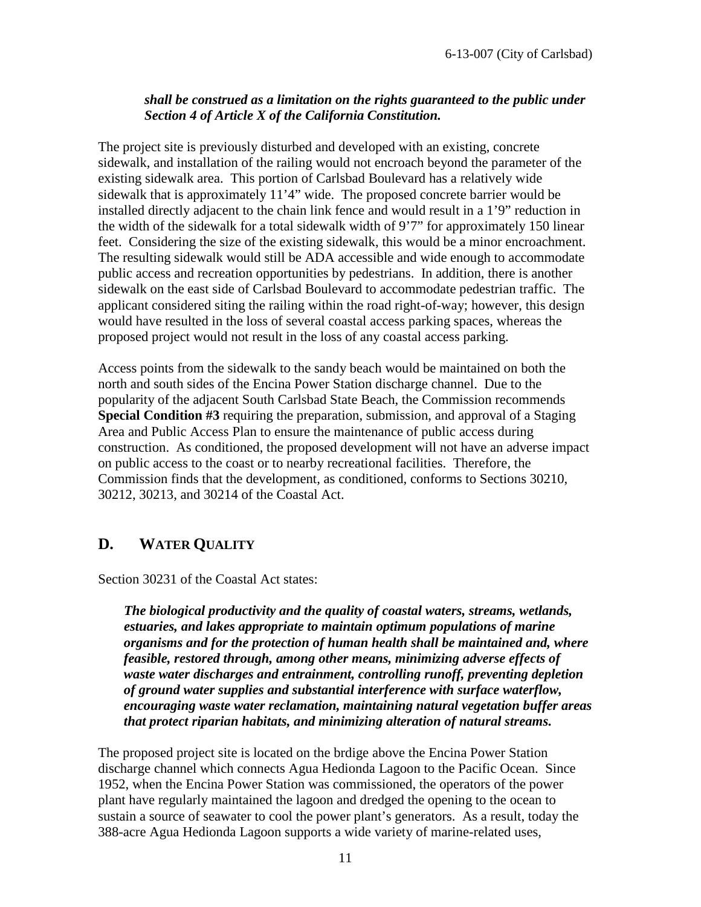#### *shall be construed as a limitation on the rights guaranteed to the public under Section 4 of Article X of the California Constitution.*

The project site is previously disturbed and developed with an existing, concrete sidewalk, and installation of the railing would not encroach beyond the parameter of the existing sidewalk area. This portion of Carlsbad Boulevard has a relatively wide sidewalk that is approximately 11'4" wide. The proposed concrete barrier would be installed directly adjacent to the chain link fence and would result in a 1'9" reduction in the width of the sidewalk for a total sidewalk width of 9'7" for approximately 150 linear feet. Considering the size of the existing sidewalk, this would be a minor encroachment. The resulting sidewalk would still be ADA accessible and wide enough to accommodate public access and recreation opportunities by pedestrians. In addition, there is another sidewalk on the east side of Carlsbad Boulevard to accommodate pedestrian traffic. The applicant considered siting the railing within the road right-of-way; however, this design would have resulted in the loss of several coastal access parking spaces, whereas the proposed project would not result in the loss of any coastal access parking.

Access points from the sidewalk to the sandy beach would be maintained on both the north and south sides of the Encina Power Station discharge channel. Due to the popularity of the adjacent South Carlsbad State Beach, the Commission recommends **Special Condition #3** requiring the preparation, submission, and approval of a Staging Area and Public Access Plan to ensure the maintenance of public access during construction. As conditioned, the proposed development will not have an adverse impact on public access to the coast or to nearby recreational facilities. Therefore, the Commission finds that the development, as conditioned, conforms to Sections 30210, 30212, 30213, and 30214 of the Coastal Act.

## **D. WATER QUALITY**

Section 30231 of the Coastal Act states:

*The biological productivity and the quality of coastal waters, streams, wetlands, estuaries, and lakes appropriate to maintain optimum populations of marine organisms and for the protection of human health shall be maintained and, where feasible, restored through, among other means, minimizing adverse effects of waste water discharges and entrainment, controlling runoff, preventing depletion of ground water supplies and substantial interference with surface waterflow, encouraging waste water reclamation, maintaining natural vegetation buffer areas that protect riparian habitats, and minimizing alteration of natural streams.*

The proposed project site is located on the brdige above the Encina Power Station discharge channel which connects Agua Hedionda Lagoon to the Pacific Ocean. Since 1952, when the Encina Power Station was commissioned, the operators of the power plant have regularly maintained the lagoon and dredged the opening to the ocean to sustain a source of seawater to cool the power plant's generators. As a result, today the 388-acre Agua Hedionda Lagoon supports a wide variety of marine-related uses,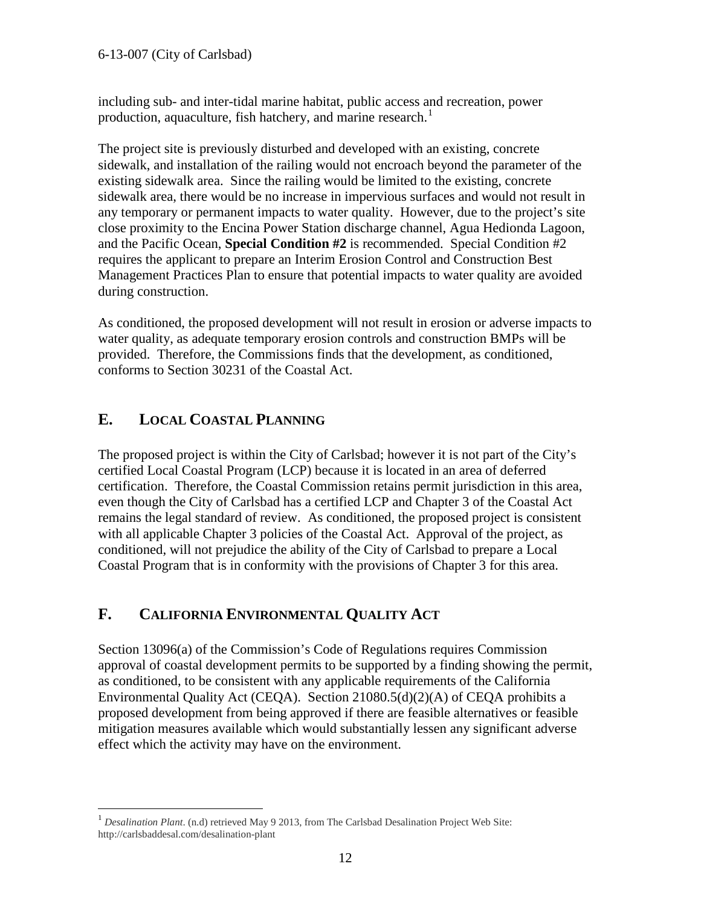including sub- and inter-tidal marine habitat, public access and recreation, power production, aquaculture, fish hatchery, and marine research.<sup>[1](#page-11-0)</sup>

The project site is previously disturbed and developed with an existing, concrete sidewalk, and installation of the railing would not encroach beyond the parameter of the existing sidewalk area. Since the railing would be limited to the existing, concrete sidewalk area, there would be no increase in impervious surfaces and would not result in any temporary or permanent impacts to water quality. However, due to the project's site close proximity to the Encina Power Station discharge channel, Agua Hedionda Lagoon, and the Pacific Ocean, **Special Condition #2** is recommended. Special Condition #2 requires the applicant to prepare an Interim Erosion Control and Construction Best Management Practices Plan to ensure that potential impacts to water quality are avoided during construction.

As conditioned, the proposed development will not result in erosion or adverse impacts to water quality, as adequate temporary erosion controls and construction BMPs will be provided. Therefore, the Commissions finds that the development, as conditioned, conforms to Section 30231 of the Coastal Act.

## **E. LOCAL COASTAL PLANNING**

The proposed project is within the City of Carlsbad; however it is not part of the City's certified Local Coastal Program (LCP) because it is located in an area of deferred certification. Therefore, the Coastal Commission retains permit jurisdiction in this area, even though the City of Carlsbad has a certified LCP and Chapter 3 of the Coastal Act remains the legal standard of review. As conditioned, the proposed project is consistent with all applicable Chapter 3 policies of the Coastal Act. Approval of the project, as conditioned, will not prejudice the ability of the City of Carlsbad to prepare a Local Coastal Program that is in conformity with the provisions of Chapter 3 for this area.

## **F. CALIFORNIA ENVIRONMENTAL QUALITY ACT**

Section 13096(a) of the Commission's Code of Regulations requires Commission approval of coastal development permits to be supported by a finding showing the permit, as conditioned, to be consistent with any applicable requirements of the California Environmental Quality Act (CEQA). Section 21080.5(d)(2)(A) of CEQA prohibits a proposed development from being approved if there are feasible alternatives or feasible mitigation measures available which would substantially lessen any significant adverse effect which the activity may have on the environment.

<span id="page-11-0"></span><sup>&</sup>lt;sup>1</sup> *Desalination Plant.* (n.d) retrieved May 9 2013, from The Carlsbad Desalination Project Web Site: http://carlsbaddesal.com/desalination-plant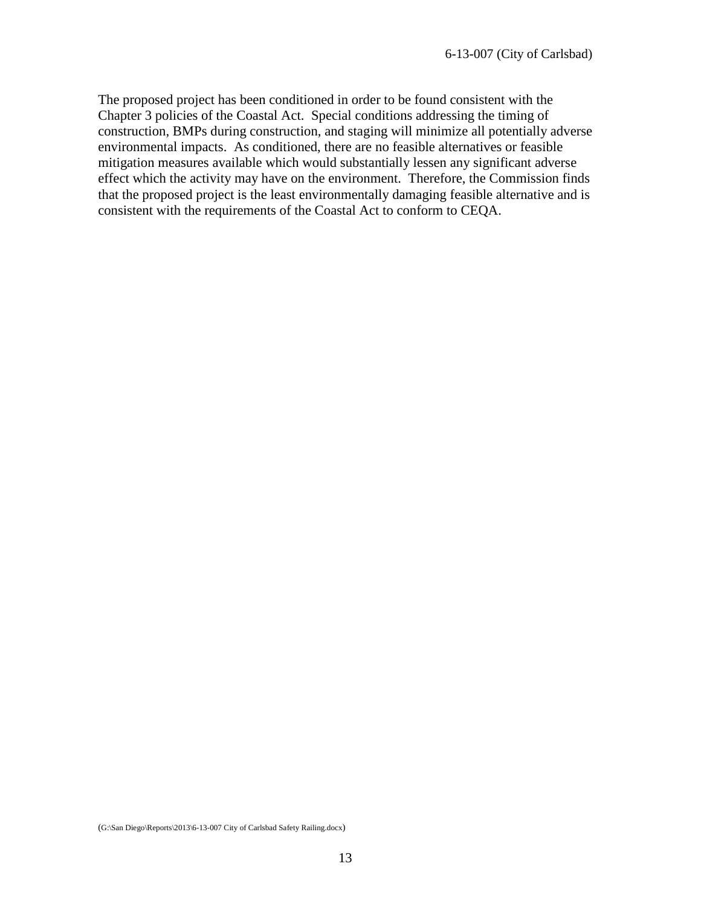The proposed project has been conditioned in order to be found consistent with the Chapter 3 policies of the Coastal Act. Special conditions addressing the timing of construction, BMPs during construction, and staging will minimize all potentially adverse environmental impacts. As conditioned, there are no feasible alternatives or feasible mitigation measures available which would substantially lessen any significant adverse effect which the activity may have on the environment. Therefore, the Commission finds that the proposed project is the least environmentally damaging feasible alternative and is consistent with the requirements of the Coastal Act to conform to CEQA.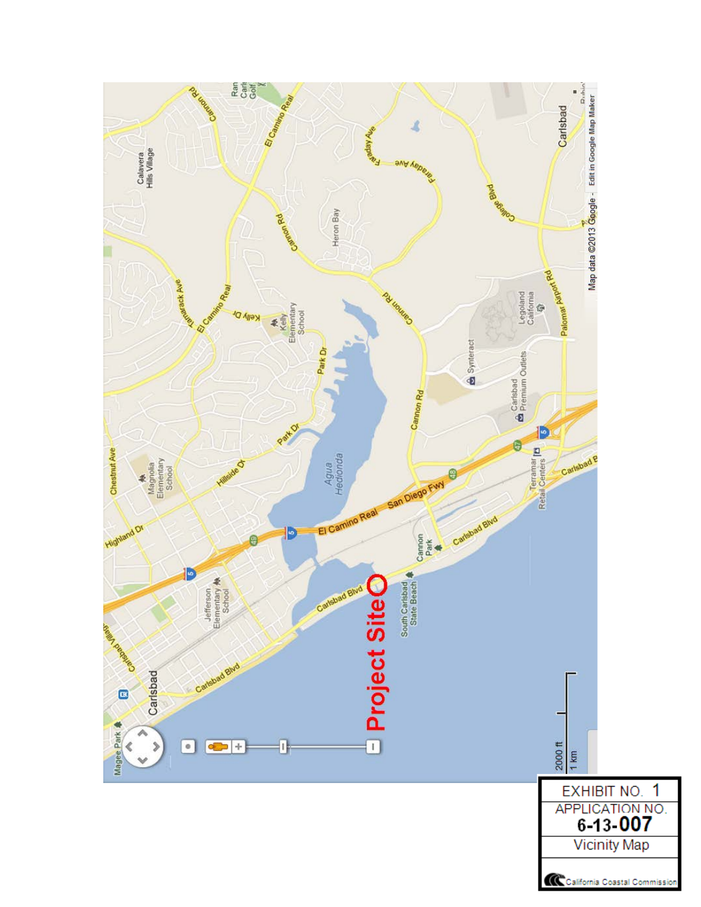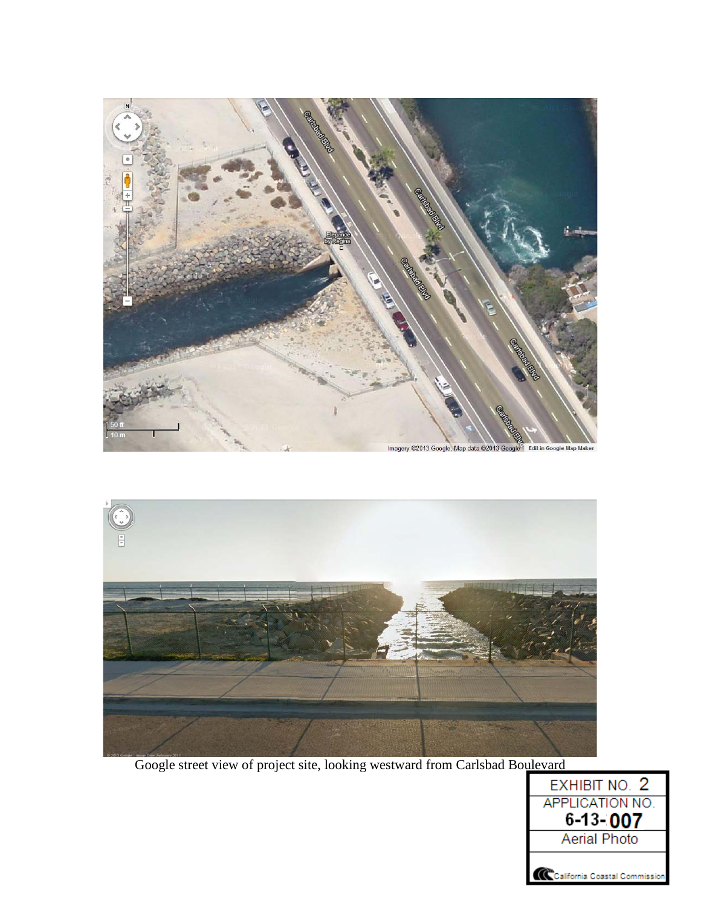



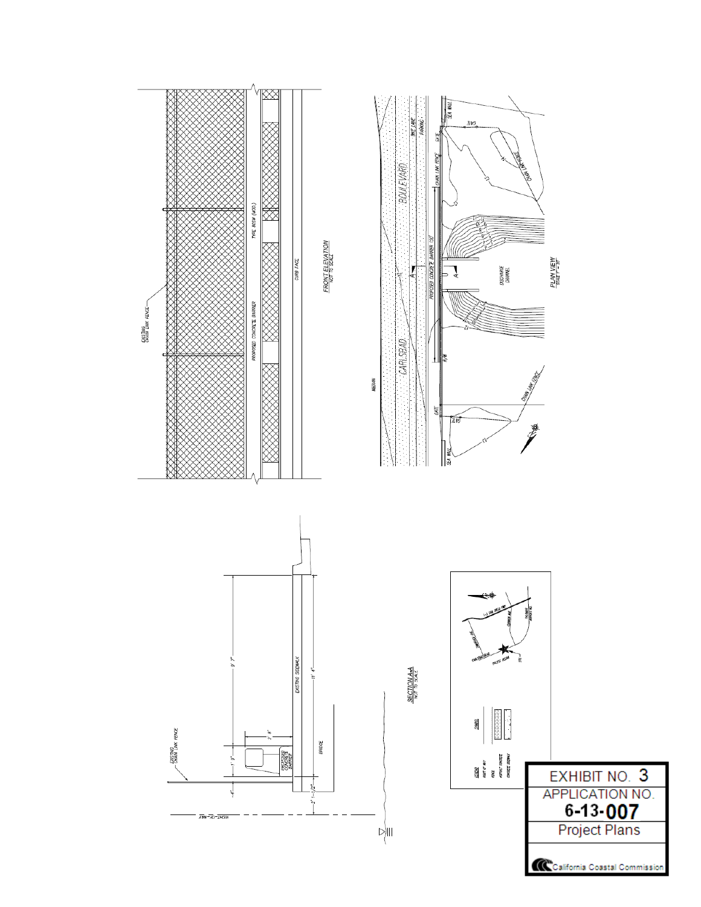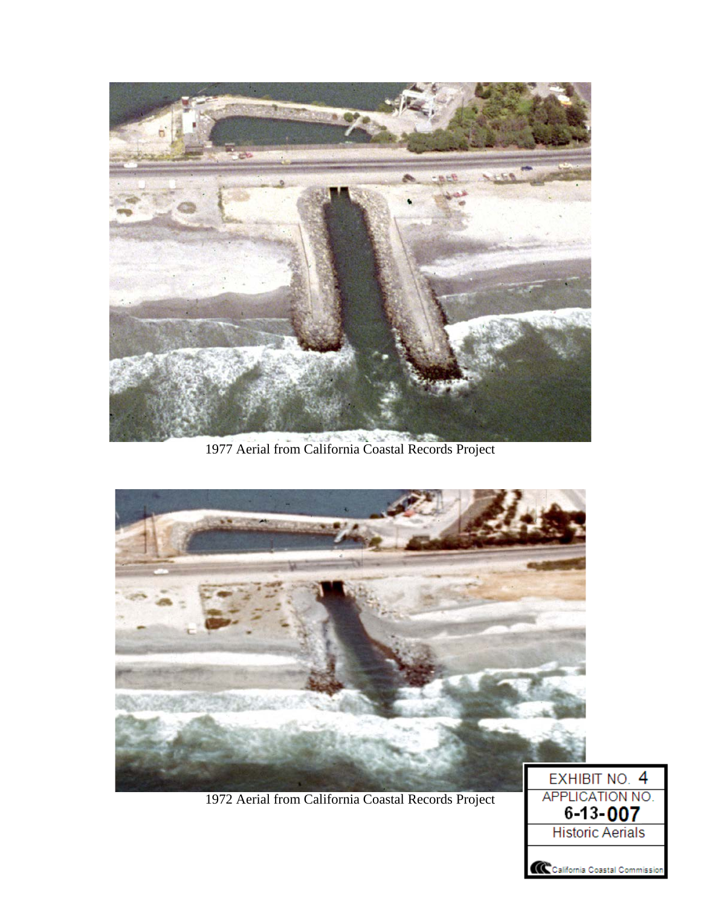

1977 Aerial from California Coastal Records Project



1972 Aerial from California Coastal Records Project